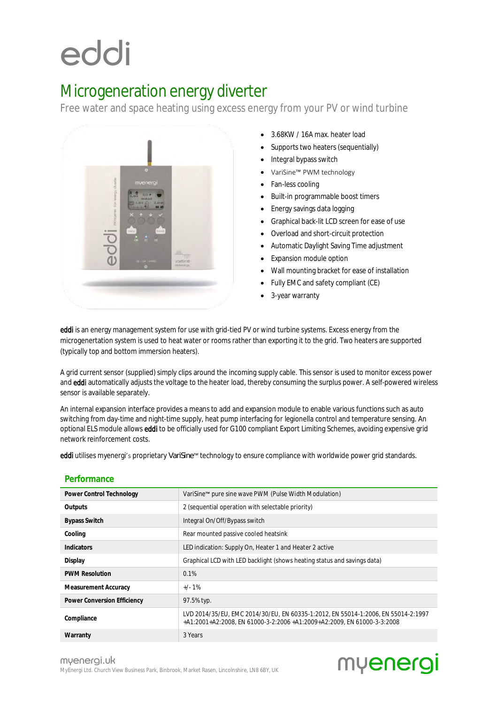# eddi

### Microgeneration energy diverter

Free water and space heating using excess energy from your PV or wind turbine



- 3.68KW / 16A max. heater load
- Supports two heaters (sequentially)
- Integral bypass switch
- VariSine™ PWM technology
- Fan-less cooling
- Built-in programmable boost timers
- Energy savings data logging
- Graphical back-lit LCD screen for ease of use
- Overload and short-circuit protection
- Automatic Daylight Saving Time adjustment
- Expansion module option
- Wall mounting bracket for ease of installation
- Fully EMC and safety compliant (CE)
- 3-year warranty

eddi is an energy management system for use with grid-tied PV or wind turbine systems. Excess energy from the microgenertation system is used to heat water or rooms rather than exporting it to the grid. Two heaters are supported (typically top and bottom immersion heaters).

A grid current sensor (supplied) simply clips around the incoming supply cable. This sensor is used to monitor excess power and eddi automatically adjusts the voltage to the heater load, thereby consuming the surplus power. A self-powered wireless sensor is available separately.

An internal expansion interface provides a means to add and expansion module to enable various functions such as auto switching from day-time and night-time supply, heat pump interfacing for legionella control and temperature sensing. An optional ELS module allows eddi to be officially used for G100 compliant Export Limiting Schemes, avoiding expensive grid network reinforcement costs.

eddi utilises myenergi's proprietary *VariSine™* technology to ensure compliance with worldwide power grid standards.

| Power Control Technology    | VariSine™ pure sine wave PWM (Pulse Width Modulation)                                                                                                        |
|-----------------------------|--------------------------------------------------------------------------------------------------------------------------------------------------------------|
| Outputs                     | 2 (sequential operation with selectable priority)                                                                                                            |
| <b>Bypass Switch</b>        | Integral On/Off/Bypass switch                                                                                                                                |
| Cooling                     | Rear mounted passive cooled heatsink                                                                                                                         |
| Indicators                  | LED indication: Supply On, Heater 1 and Heater 2 active                                                                                                      |
| Display                     | Graphical LCD with LED backlight (shows heating status and savings data)                                                                                     |
| <b>PWM Resolution</b>       | 0.1%                                                                                                                                                         |
| Measurement Accuracy        | $+/-1\%$                                                                                                                                                     |
| Power Conversion Efficiency | 97.5% typ.                                                                                                                                                   |
| Compliance                  | LVD 2014/35/EU, EMC 2014/30/EU, EN 60335-1:2012, EN 55014-1:2006, EN 55014-2:1997<br>+A1:2001+A2:2008, EN 61000-3-2:2006 +A1:2009+A2:2009, EN 61000-3-3:2008 |
| Warranty                    | 3 Years                                                                                                                                                      |

#### **Performance**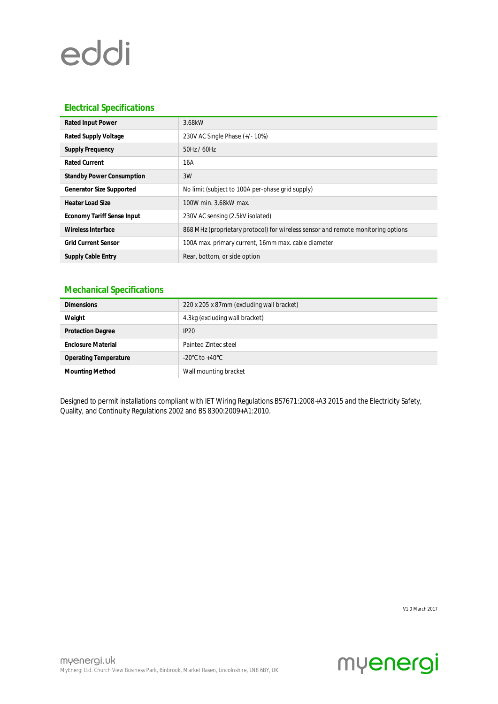# eddi

### **Electrical Specifications**

| Rated Input Power                | 3.68kW                                                                           |
|----------------------------------|----------------------------------------------------------------------------------|
| Rated Supply Voltage             | 230V AC Single Phase (+/-10%)                                                    |
| Supply Frequency                 | 50Hz / 60Hz                                                                      |
| Rated Current                    | 16A                                                                              |
| <b>Standby Power Consumption</b> | 3W                                                                               |
| Generator Size Supported         | No limit (subject to 100A per-phase grid supply)                                 |
| Heater Load Size                 | 100W min. 3.68kW max.                                                            |
| Economy Tariff Sense Input       | 230V AC sensing (2.5kV isolated)                                                 |
| Wireless Interface               | 868 MHz (proprietary protocol) for wireless sensor and remote monitoring options |
| <b>Grid Current Sensor</b>       | 100A max. primary current, 16mm max. cable diameter                              |
| Supply Cable Entry               | Rear, bottom, or side option                                                     |

#### **Mechanical Specifications**

| <b>Dimensions</b>            | 220 x 205 x 87mm (excluding wall bracket) |
|------------------------------|-------------------------------------------|
| Weight                       | 4.3kg (excluding wall bracket)            |
| <b>Protection Degree</b>     | IP20                                      |
| <b>Enclosure Material</b>    | Painted Zintec steel                      |
| <b>Operating Temperature</b> | -20°C to +40°C                            |
| Mounting Method              | Wall mounting bracket                     |

Designed to permit installations compliant with IET Wiring Regulations BS7671:2008+A3 2015 and the Electricity Safety, Quality, and Continuity Regulations 2002 and BS 8300:2009+A1:2010.

V1.0 March 2017

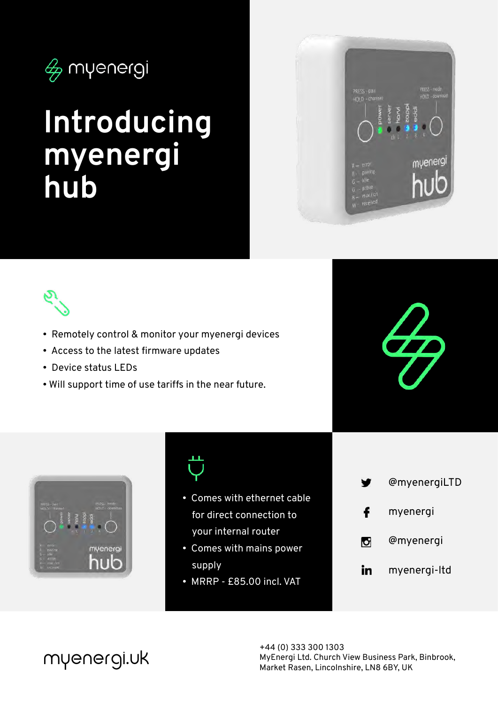

## **Introducing myenergi hub**





- Remotely control & monitor your myenergi devices
- Access to the latest firmware updates
- Device status LEDs
- Will support time of use tariffs in the near future.







- Comes with ethernet cable for direct connection to your internal router
- Comes with mains power supply
- MRRP £85.00 incl. VAT
- @myenergiLTD f myenergi @myenergi U in myenergi-ltd